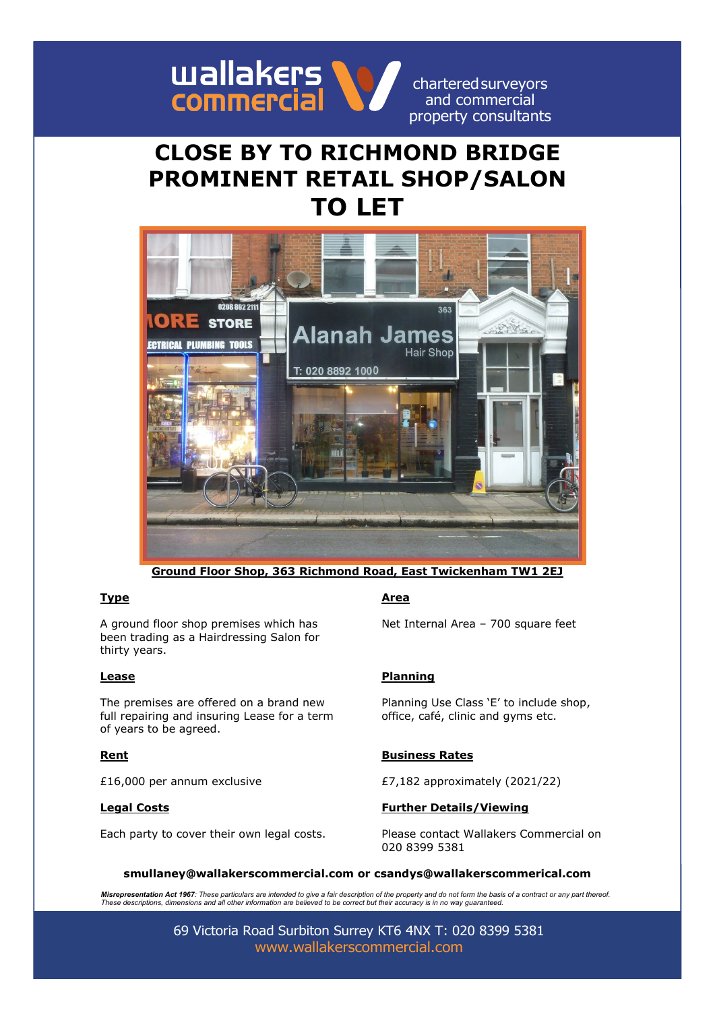

chartered surveyors and commercial property consultants

# **CLOSE BY TO RICHMOND BRIDGE PROMINENT RETAIL SHOP/SALON TO LET**



**Ground Floor Shop, 363 Richmond Road, East Twickenham TW1 2EJ**

A ground floor shop premises which has been trading as a Hairdressing Salon for thirty years.

The premises are offered on a brand new full repairing and insuring Lease for a term of years to be agreed.

# **Type Area**

Net Internal Area – 700 square feet

# **Lease Planning**

Planning Use Class 'E' to include shop, office, café, clinic and gyms etc.

### **Rent Business Rates**

£16,000 per annum exclusive  $E7,182$  approximately (2021/22)

### **Legal Costs Further Details/Viewing**

Each party to cover their own legal costs. Please contact Wallakers Commercial on 020 8399 5381

### **smullaney@wallakerscommercial.com or csandys@wallakerscommerical.com**

**Misrepresentation Act 1967**: These particulars are intended to give a fair description of the property and do not form the basis of a contract or any part thereof.<br>These descriptions, dimensions and all other information

69 Victoria Road Surbiton Surrey KT6 4NX T: 020 8399 5381 [www.wallakerscommercial.com](http://www.wallakerscommercial.com/)